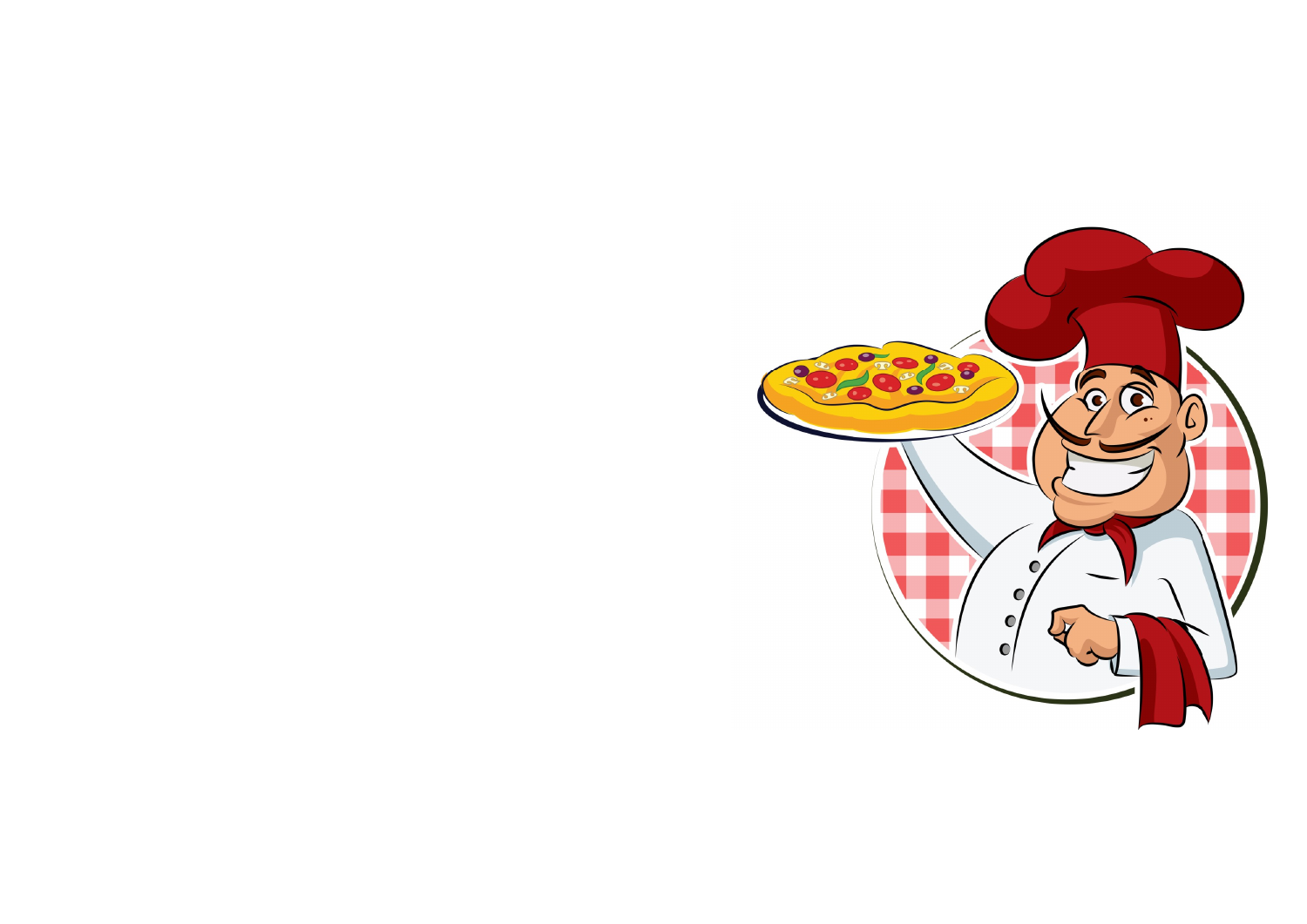